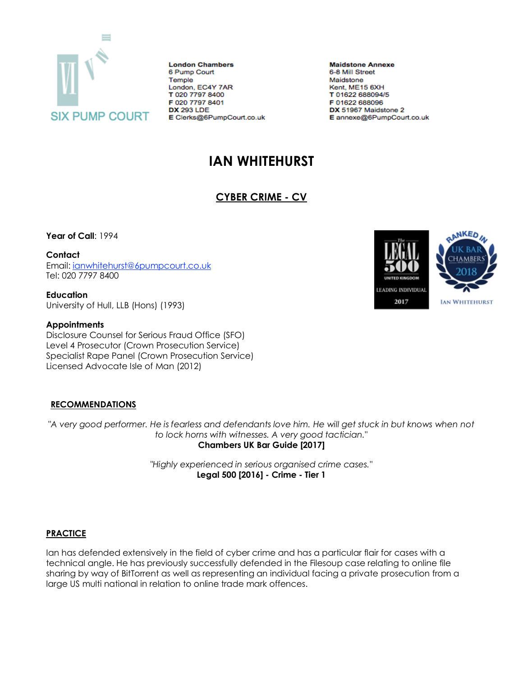

**London Chambers** 6 Pump Court Temple London, EC4Y 7AR T 020 7797 8400 F 020 7797 8401 **DX 293 LDE** E Clerks@6PumpCourt.co.uk

**Maidstone Annexe** 6-8 Mill Street Maidstone Kent, ME15 6XH T 01622 688094/5 F 01622 688096 DX 51967 Maidstone 2 E annexe@6PumpCourt.co.uk

# **IAN WHITEHURST**

# **CYBER CRIME - CV**

**Year of Call**: 1994

**Contact**

Email: [ianwhitehurst@6pumpcourt.co.uk](mailto:ianwhitehurst@6pumpcourt.co.uk) Tel: 020 7797 8400

**Education** University of Hull, LLB (Hons) (1993)

#### **Appointments**

Disclosure Counsel for Serious Fraud Office (SFO) Level 4 Prosecutor (Crown Prosecution Service) Specialist Rape Panel (Crown Prosecution Service) Licensed Advocate Isle of Man (2012)

## **RECOMMENDATIONS**

*"A very good performer. He is fearless and defendants love him. He will get stuck in but knows when not to lock horns with witnesses. A very good tactician."* **Chambers UK Bar Guide [2017]**

> *"Highly experienced in serious organised crime cases."* **Legal 500 [2016] - Crime - Tier 1**

## **PRACTICE**

Ian has defended extensively in the field of cyber crime and has a particular flair for cases with a technical angle. He has previously successfully defended in the Filesoup case relating to online file sharing by way of BitTorrent as well as representing an individual facing a private prosecution from a large US multi national in relation to online trade mark offences.